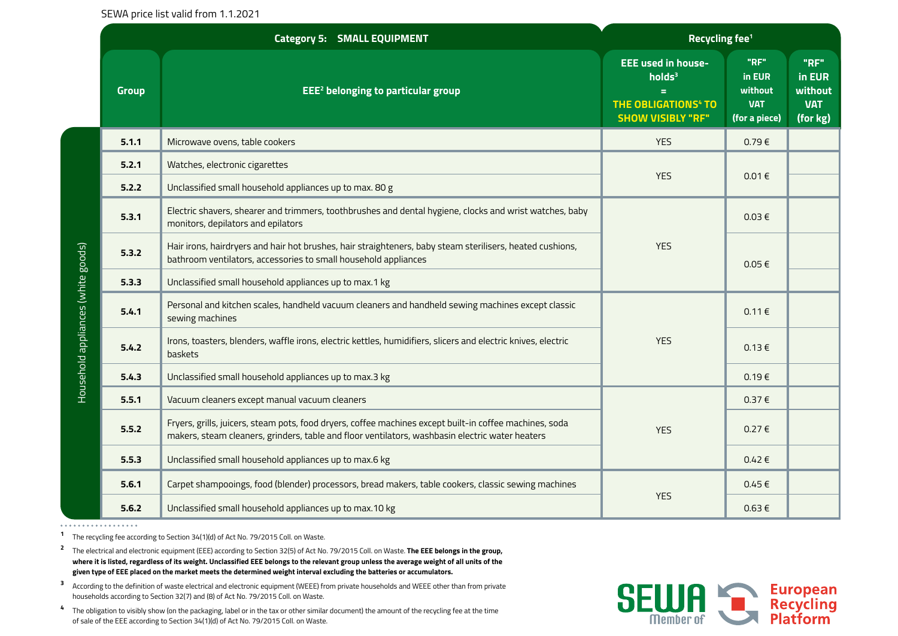SEWA price list valid from 1.1.2021

|                                    |              | <b>Category 5: SMALL EQUIPMENT</b>                                                                                                                                                                         | Recycling fee <sup>1</sup>                                                                                                |                                                          |                                                     |
|------------------------------------|--------------|------------------------------------------------------------------------------------------------------------------------------------------------------------------------------------------------------------|---------------------------------------------------------------------------------------------------------------------------|----------------------------------------------------------|-----------------------------------------------------|
|                                    | <b>Group</b> | EEE <sup>2</sup> belonging to particular group                                                                                                                                                             | <b>EEE used in house-</b><br>holds <sup>3</sup><br>Ξ<br><b>THE OBLIGATIONS<sup>4</sup> TO</b><br><b>SHOW VISIBLY "RF"</b> | "RF"<br>in EUR<br>without<br><b>VAT</b><br>(for a piece) | "RF"<br>in EUR<br>without<br><b>VAT</b><br>(for kg) |
|                                    | 5.1.1        | Microwave ovens, table cookers                                                                                                                                                                             | <b>YES</b>                                                                                                                | 0.79E                                                    |                                                     |
| Household appliances (white goods) | 5.2.1        | Watches, electronic cigarettes                                                                                                                                                                             | <b>YES</b>                                                                                                                | 0.01€                                                    |                                                     |
|                                    | 5.2.2        | Unclassified small household appliances up to max. 80 g                                                                                                                                                    |                                                                                                                           |                                                          |                                                     |
|                                    | 5.3.1        | Electric shavers, shearer and trimmers, toothbrushes and dental hygiene, clocks and wrist watches, baby<br>monitors, depilators and epilators                                                              | <b>YES</b>                                                                                                                | $0.03 \in$                                               |                                                     |
|                                    | 5.3.2        | Hair irons, hairdryers and hair hot brushes, hair straighteners, baby steam sterilisers, heated cushions,<br>bathroom ventilators, accessories to small household appliances                               |                                                                                                                           | $0.05 \in$                                               |                                                     |
|                                    | 5.3.3        | Unclassified small household appliances up to max.1 kg                                                                                                                                                     |                                                                                                                           |                                                          |                                                     |
|                                    | 5.4.1        | Personal and kitchen scales, handheld vacuum cleaners and handheld sewing machines except classic<br>sewing machines                                                                                       | <b>YES</b>                                                                                                                | 0.11€                                                    |                                                     |
|                                    | 5.4.2        | Irons, toasters, blenders, waffle irons, electric kettles, humidifiers, slicers and electric knives, electric<br>baskets                                                                                   |                                                                                                                           | 0.13€                                                    |                                                     |
|                                    | 5.4.3        | Unclassified small household appliances up to max.3 kg                                                                                                                                                     |                                                                                                                           | $0.19 \in$                                               |                                                     |
|                                    | 5.5.1        | Vacuum cleaners except manual vacuum cleaners                                                                                                                                                              |                                                                                                                           | 0.37€                                                    |                                                     |
|                                    | 5.5.2        | Fryers, grills, juicers, steam pots, food dryers, coffee machines except built-in coffee machines, soda<br>makers, steam cleaners, grinders, table and floor ventilators, washbasin electric water heaters | <b>YES</b>                                                                                                                | 0.27€                                                    |                                                     |
|                                    | 5.5.3        | Unclassified small household appliances up to max.6 kg                                                                                                                                                     |                                                                                                                           | 0.42€                                                    |                                                     |
|                                    | 5.6.1        | Carpet shampooings, food (blender) processors, bread makers, table cookers, classic sewing machines                                                                                                        |                                                                                                                           | $0.45 \in$                                               |                                                     |
|                                    | 5.6.2        | Unclassified small household appliances up to max.10 kg                                                                                                                                                    | <b>YES</b>                                                                                                                | $0.63 \in$                                               |                                                     |

**<sup>1</sup>**The recycling fee according to Section 34(1)(d) of Act No. 79/2015 Coll. on Waste.

**<sup>2</sup>** The electrical and electronic equipment (EEE) according to Section 32(5) of Act No. 79/2015 Coll. on Waste. **The EEE belongs in the group, where it is listed, regardless of its weight. Unclassified EEE belongs to the relevant group unless the average weight of all units of the given type of EEE placed on the market meets the determined weight interval excluding the batteries or accumulators.**

**3** According to the definition of waste electrical and electronic equipment (WEEE) from private households and WEEE other than from private households according to Section 32(7) and (8) of Act No. 79/2015 Coll. on Waste.

**4** The obligation to visibly show (on the packaging, label or in the tax or other similar document) the amount of the recycling fee at the time of sale of the EEE according to Section 34(1)(d) of Act No. 79/2015 Coll. on Waste.

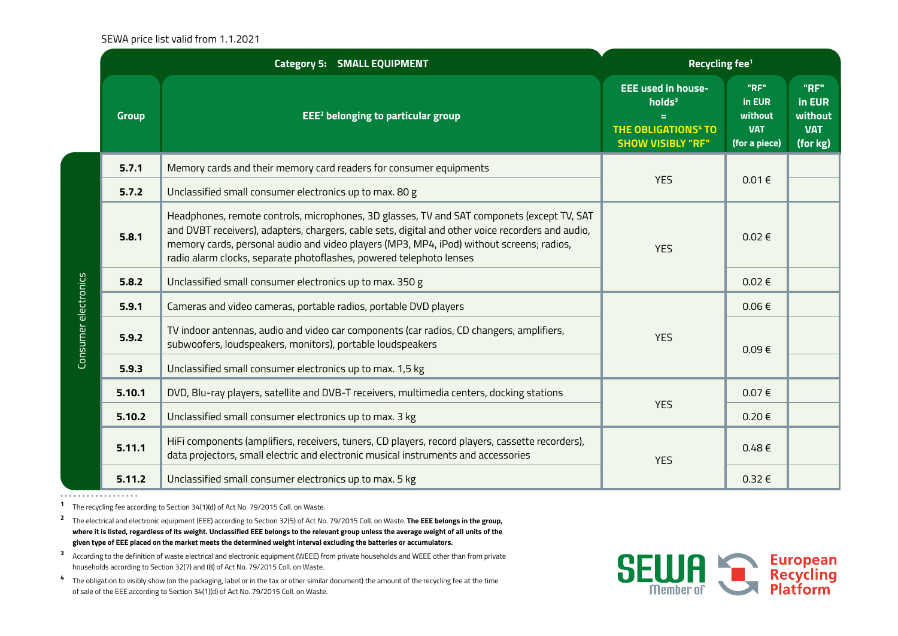## SEWA price list valid from 1.1.2021

|                      | <b>Category 5: SMALL EQUIPMENT</b> |                                                                                                                                                                                                                                                                                                                                                                    | Recycling fee <sup>1</sup>                                                                                                  |                                                          |                                                     |
|----------------------|------------------------------------|--------------------------------------------------------------------------------------------------------------------------------------------------------------------------------------------------------------------------------------------------------------------------------------------------------------------------------------------------------------------|-----------------------------------------------------------------------------------------------------------------------------|----------------------------------------------------------|-----------------------------------------------------|
|                      | <b>Group</b>                       | EEE <sup>2</sup> belonging to particular group                                                                                                                                                                                                                                                                                                                     | <b>EEE used in house-</b><br>holds <sup>3</sup><br>$=$<br><b>THE OBLIGATIONS<sup>4</sup> TO</b><br><b>SHOW VISIBLY "RF"</b> | "RF"<br>in EUR<br>without<br><b>VAT</b><br>(for a piece) | "RF"<br>in EUR<br>without<br><b>VAT</b><br>(for kg) |
|                      | 5.7.1                              | Memory cards and their memory card readers for consumer equipments                                                                                                                                                                                                                                                                                                 | <b>YES</b>                                                                                                                  | 0.01€                                                    |                                                     |
|                      | 5.7.2                              | Unclassified small consumer electronics up to max. 80 g                                                                                                                                                                                                                                                                                                            |                                                                                                                             |                                                          |                                                     |
|                      | 5.8.1                              | Headphones, remote controls, microphones, 3D glasses, TV and SAT componets (except TV, SAT<br>and DVBT receivers), adapters, chargers, cable sets, digital and other voice recorders and audio,<br>memory cards, personal audio and video players (MP3, MP4, iPod) without screens; radios,<br>radio alarm clocks, separate photoflashes, powered telephoto lenses | <b>YES</b>                                                                                                                  | $0.02 \in$                                               |                                                     |
|                      | 5.8.2                              | Unclassified small consumer electronics up to max. 350 g                                                                                                                                                                                                                                                                                                           |                                                                                                                             | $0.02 \in$                                               |                                                     |
| Consumer electronics | 5.9.1                              | Cameras and video cameras, portable radios, portable DVD players                                                                                                                                                                                                                                                                                                   | <b>YES</b>                                                                                                                  | $0.06 \in$                                               |                                                     |
|                      | 5.9.2                              | TV indoor antennas, audio and video car components (car radios, CD changers, amplifiers,<br>subwoofers, loudspeakers, monitors), portable loudspeakers                                                                                                                                                                                                             |                                                                                                                             | $0.09 \in$                                               |                                                     |
|                      | 5.9.3                              | Unclassified small consumer electronics up to max. 1,5 kg                                                                                                                                                                                                                                                                                                          |                                                                                                                             |                                                          |                                                     |
|                      | 5.10.1                             | DVD, Blu-ray players, satellite and DVB-T receivers, multimedia centers, docking stations                                                                                                                                                                                                                                                                          | <b>YES</b>                                                                                                                  | $0.07 \in$                                               |                                                     |
|                      | 5.10.2                             | Unclassified small consumer electronics up to max. 3 kg                                                                                                                                                                                                                                                                                                            |                                                                                                                             | $0.20 \in$                                               |                                                     |
|                      | 5.11.1                             | HiFi components (amplifiers, receivers, tuners, CD players, record players, cassette recorders),<br>data projectors, small electric and electronic musical instruments and accessories                                                                                                                                                                             | <b>YES</b>                                                                                                                  | $0.48 \in$                                               |                                                     |
|                      | 5.11.2                             | Unclassified small consumer electronics up to max. 5 kg                                                                                                                                                                                                                                                                                                            |                                                                                                                             | $0.32 \in$                                               |                                                     |

. . . . . . . . . . . . . . . . . . .

**<sup>1</sup>**The recycling fee according to Section 34(1)(d) of Act No. 79/2015 Coll. on Waste.

**<sup>2</sup>** The electrical and electronic equipment (EEE) according to Section 32(5) of Act No. 79/2015 Coll. on Waste. **The EEE belongs in the group, where it is listed, regardless of its weight. Unclassified EEE belongs to the relevant group unless the average weight of all units of the given type of EEE placed on the market meets the determined weight interval excluding the batteries or accumulators.**

**3** According to the definition of waste electrical and electronic equipment (WEEE) from private households and WEEE other than from private households according to Section 32(7) and (8) of Act No. 79/2015 Coll. on Waste.

**4** The obligation to visibly show (on the packaging, label or in the tax or other similar document) the amount of the recycling fee at the time of sale of the EEE according to Section 34(1)(d) of Act No. 79/2015 Coll. on Waste.

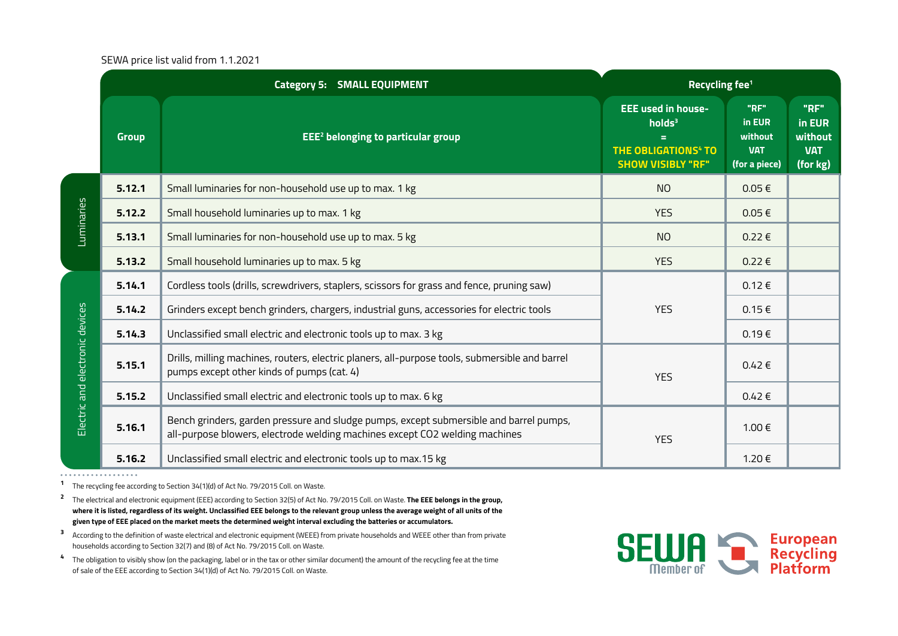## SEWA price list valid from 1.1.2021

|                                 |              | <b>Category 5: SMALL EQUIPMENT</b>                                                                                                                                    | Recycling fee <sup>1</sup>                                                                                                  |                                                          |                                                     |
|---------------------------------|--------------|-----------------------------------------------------------------------------------------------------------------------------------------------------------------------|-----------------------------------------------------------------------------------------------------------------------------|----------------------------------------------------------|-----------------------------------------------------|
|                                 | <b>Group</b> | EEE <sup>2</sup> belonging to particular group                                                                                                                        | <b>EEE used in house-</b><br>holds <sup>3</sup><br>$=$<br><b>THE OBLIGATIONS<sup>4</sup> TO</b><br><b>SHOW VISIBLY "RF"</b> | "RF"<br>in EUR<br>without<br><b>VAT</b><br>(for a piece) | "RF"<br>in EUR<br>without<br><b>VAT</b><br>(for kg) |
|                                 | 5.12.1       | Small luminaries for non-household use up to max. 1 kg                                                                                                                | <b>NO</b>                                                                                                                   | $0.05 \in$                                               |                                                     |
| Luminaries                      | 5.12.2       | Small household luminaries up to max. 1 kg                                                                                                                            | <b>YES</b>                                                                                                                  | $0.05 \in$                                               |                                                     |
|                                 | 5.13.1       | Small luminaries for non-household use up to max. 5 kg                                                                                                                | <b>NO</b>                                                                                                                   | $0.22 \in$                                               |                                                     |
|                                 | 5.13.2       | Small household luminaries up to max. 5 kg                                                                                                                            | <b>YES</b>                                                                                                                  | $0.22 \in$                                               |                                                     |
|                                 | 5.14.1       | Cordless tools (drills, screwdrivers, staplers, scissors for grass and fence, pruning saw)                                                                            |                                                                                                                             | 0.12€                                                    |                                                     |
|                                 | 5.14.2       | Grinders except bench grinders, chargers, industrial guns, accessories for electric tools                                                                             | <b>YES</b>                                                                                                                  | $0.15 \in$                                               |                                                     |
|                                 | 5.14.3       | Unclassified small electric and electronic tools up to max. 3 kg                                                                                                      |                                                                                                                             | 0.19E                                                    |                                                     |
| Electric and electronic devices | 5.15.1       | Drills, milling machines, routers, electric planers, all-purpose tools, submersible and barrel<br>pumps except other kinds of pumps (cat. 4)                          | <b>YES</b>                                                                                                                  | $0.42 \in$                                               |                                                     |
|                                 | 5.15.2       | Unclassified small electric and electronic tools up to max. 6 kg                                                                                                      |                                                                                                                             | $0.42 \in$                                               |                                                     |
|                                 | 5.16.1       | Bench grinders, garden pressure and sludge pumps, except submersible and barrel pumps,<br>all-purpose blowers, electrode welding machines except CO2 welding machines | <b>YES</b>                                                                                                                  | 1.00 €                                                   |                                                     |
|                                 | 5.16.2       | Unclassified small electric and electronic tools up to max.15 kg                                                                                                      |                                                                                                                             | 1.20€                                                    |                                                     |

. . . . . . . . . . . . . . . . . .

**<sup>1</sup>**The recycling fee according to Section 34(1)(d) of Act No. 79/2015 Coll. on Waste.

**<sup>2</sup>** The electrical and electronic equipment (EEE) according to Section 32(5) of Act No. 79/2015 Coll. on Waste. **The EEE belongs in the group, where it is listed, regardless of its weight. Unclassified EEE belongs to the relevant group unless the average weight of all units of the given type of EEE placed on the market meets the determined weight interval excluding the batteries or accumulators.**

- **3** According to the definition of waste electrical and electronic equipment (WEEE) from private households and WEEE other than from private households according to Section 32(7) and (8) of Act No. 79/2015 Coll. on Waste.
- **4** The obligation to visibly show (on the packaging, label or in the tax or other similar document) the amount of the recycling fee at the time of sale of the EEE according to Section 34(1)(d) of Act No. 79/2015 Coll. on Waste.